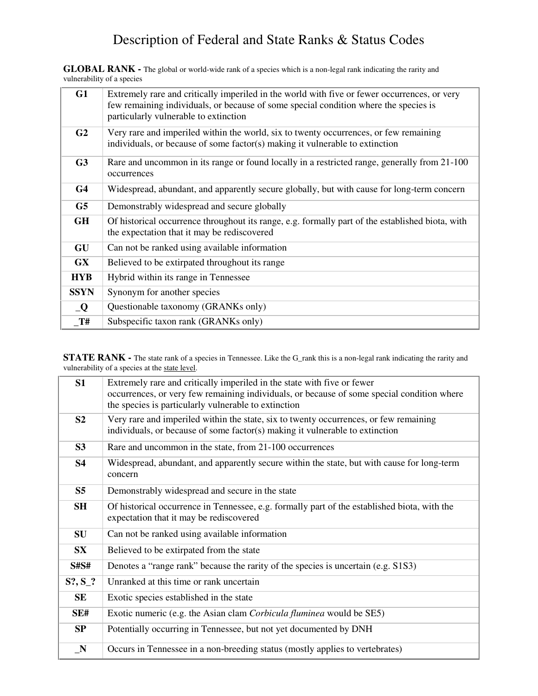**GLOBAL RANK -** The global or world-wide rank of a species which is a non-legal rank indicating the rarity and vulnerability of a species

| G1             | Extremely rare and critically imperiled in the world with five or fewer occurrences, or very<br>few remaining individuals, or because of some special condition where the species is<br>particularly vulnerable to extinction |  |
|----------------|-------------------------------------------------------------------------------------------------------------------------------------------------------------------------------------------------------------------------------|--|
| G <sub>2</sub> | Very rare and imperiled within the world, six to twenty occurrences, or few remaining<br>individuals, or because of some factor(s) making it vulnerable to extinction                                                         |  |
| G <sub>3</sub> | Rare and uncommon in its range or found locally in a restricted range, generally from 21-100<br>occurrences                                                                                                                   |  |
| G <sub>4</sub> | Widespread, abundant, and apparently secure globally, but with cause for long-term concern                                                                                                                                    |  |
| G <sub>5</sub> | Demonstrably widespread and secure globally                                                                                                                                                                                   |  |
| <b>GH</b>      | Of historical occurrence throughout its range, e.g. formally part of the established biota, with<br>the expectation that it may be rediscovered                                                                               |  |
| GU             | Can not be ranked using available information                                                                                                                                                                                 |  |
| <b>GX</b>      | Believed to be extirpated throughout its range                                                                                                                                                                                |  |
| <b>HYB</b>     | Hybrid within its range in Tennessee                                                                                                                                                                                          |  |
| <b>SSYN</b>    | Synonym for another species                                                                                                                                                                                                   |  |
| Q              | Questionable taxonomy (GRANKs only)                                                                                                                                                                                           |  |
| T#             | Subspecific taxon rank (GRANKs only)                                                                                                                                                                                          |  |

**STATE RANK -** The state rank of a species in Tennessee. Like the G\_rank this is a non-legal rank indicating the rarity and vulnerability of a species at the state level.

| S1             | Extremely rare and critically imperiled in the state with five or fewer<br>occurrences, or very few remaining individuals, or because of some special condition where<br>the species is particularly vulnerable to extinction |  |  |
|----------------|-------------------------------------------------------------------------------------------------------------------------------------------------------------------------------------------------------------------------------|--|--|
| S <sub>2</sub> | Very rare and imperiled within the state, six to twenty occurrences, or few remaining<br>individuals, or because of some factor(s) making it vulnerable to extinction                                                         |  |  |
| S3             | Rare and uncommon in the state, from 21-100 occurrences                                                                                                                                                                       |  |  |
| <b>S4</b>      | Widespread, abundant, and apparently secure within the state, but with cause for long-term<br>concern                                                                                                                         |  |  |
| S <sub>5</sub> | Demonstrably widespread and secure in the state                                                                                                                                                                               |  |  |
| <b>SH</b>      | Of historical occurrence in Tennessee, e.g. formally part of the established biota, with the<br>expectation that it may be rediscovered                                                                                       |  |  |
| SU             | Can not be ranked using available information                                                                                                                                                                                 |  |  |
| <b>SX</b>      | Believed to be extirpated from the state                                                                                                                                                                                      |  |  |
| <b>S#S#</b>    | Denotes a "range rank" because the rarity of the species is uncertain (e.g. S1S3)                                                                                                                                             |  |  |
| $S?, S_?$      | Unranked at this time or rank uncertain                                                                                                                                                                                       |  |  |
| <b>SE</b>      | Exotic species established in the state                                                                                                                                                                                       |  |  |
| SE#            | Exotic numeric (e.g. the Asian clam Corbicula fluminea would be SE5)                                                                                                                                                          |  |  |
| SP             | Potentially occurring in Tennessee, but not yet documented by DNH                                                                                                                                                             |  |  |
| $\mathbb{N}$   | Occurs in Tennessee in a non-breeding status (mostly applies to vertebrates)                                                                                                                                                  |  |  |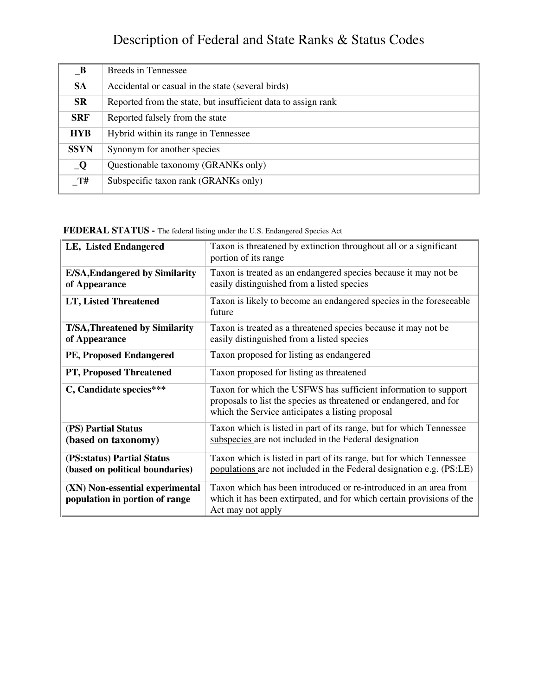| $\mathbf{B}$ | <b>Breeds in Tennessee</b>                                    |
|--------------|---------------------------------------------------------------|
| <b>SA</b>    | Accidental or casual in the state (several birds)             |
| <b>SR</b>    | Reported from the state, but insufficient data to assign rank |
| <b>SRF</b>   | Reported falsely from the state                               |
| <b>HYB</b>   | Hybrid within its range in Tennessee                          |
| <b>SSYN</b>  | Synonym for another species                                   |
| Q            | Questionable taxonomy (GRANKs only)                           |
| $\_T#$       | Subspecific taxon rank (GRANKs only)                          |

#### **FEDERAL STATUS -** The federal listing under the U.S. Endangered Species Act

| LE, Listed Endangered                                             | Taxon is threatened by extinction throughout all or a significant<br>portion of its range                                                                                                 |
|-------------------------------------------------------------------|-------------------------------------------------------------------------------------------------------------------------------------------------------------------------------------------|
| <b>E/SA, Endangered by Similarity</b><br>of Appearance            | Taxon is treated as an endangered species because it may not be<br>easily distinguished from a listed species                                                                             |
| LT, Listed Threatened                                             | Taxon is likely to become an endangered species in the foreseeable<br>future                                                                                                              |
| <b>T/SA, Threatened by Similarity</b><br>of Appearance            | Taxon is treated as a threatened species because it may not be<br>easily distinguished from a listed species                                                                              |
| PE, Proposed Endangered                                           | Taxon proposed for listing as endangered                                                                                                                                                  |
| PT, Proposed Threatened                                           | Taxon proposed for listing as threatened                                                                                                                                                  |
| C, Candidate species***                                           | Taxon for which the USFWS has sufficient information to support<br>proposals to list the species as threatened or endangered, and for<br>which the Service anticipates a listing proposal |
| (PS) Partial Status<br>(based on taxonomy)                        | Taxon which is listed in part of its range, but for which Tennessee<br>subspecies are not included in the Federal designation                                                             |
| (PS:status) Partial Status<br>(based on political boundaries)     | Taxon which is listed in part of its range, but for which Tennessee<br>populations are not included in the Federal designation e.g. (PS:LE)                                               |
| (XN) Non-essential experimental<br>population in portion of range | Taxon which has been introduced or re-introduced in an area from<br>which it has been extirpated, and for which certain provisions of the<br>Act may not apply                            |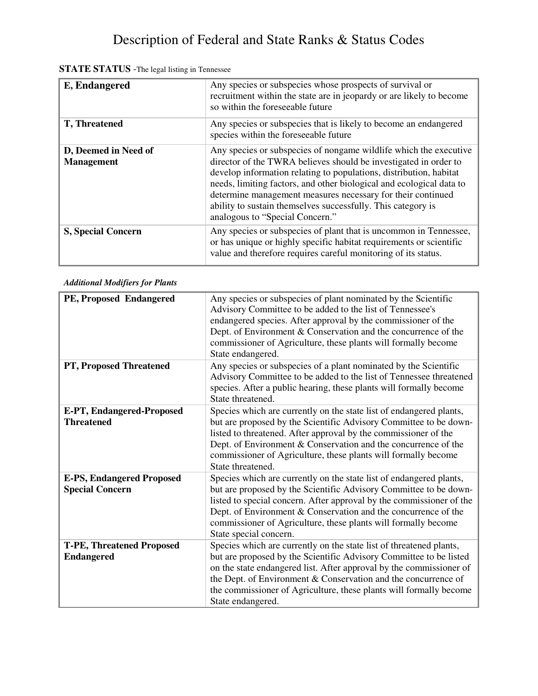| E, Endangered                             | Any species or subspecies whose prospects of survival or<br>recruitment within the state are in jeopardy or are likely to become<br>so within the foreseeable future                                                                                                                                                                                                                                                                                  |
|-------------------------------------------|-------------------------------------------------------------------------------------------------------------------------------------------------------------------------------------------------------------------------------------------------------------------------------------------------------------------------------------------------------------------------------------------------------------------------------------------------------|
| T, Threatened                             | Any species or subspecies that is likely to become an endangered<br>species within the foreseeable future                                                                                                                                                                                                                                                                                                                                             |
| D, Deemed in Need of<br><b>Management</b> | Any species or subspecies of nongame wildlife which the executive<br>director of the TWRA believes should be investigated in order to<br>develop information relating to populations, distribution, habitat<br>needs, limiting factors, and other biological and ecological data to<br>determine management measures necessary for their continued<br>ability to sustain themselves successfully. This category is<br>analogous to "Special Concern." |
| <b>S, Special Concern</b>                 | Any species or subspecies of plant that is uncommon in Tennessee,<br>or has unique or highly specific habitat requirements or scientific<br>value and therefore requires careful monitoring of its status.                                                                                                                                                                                                                                            |

#### **STATE STATUS** -The legal listing in Tennessee

| PE, Proposed Endangered                                    | Any species or subspecies of plant nominated by the Scientific<br>Advisory Committee to be added to the list of Tennessee's<br>endangered species. After approval by the commissioner of the<br>Dept. of Environment & Conservation and the concurrence of the<br>commissioner of Agriculture, these plants will formally become<br>State endangered.                          |
|------------------------------------------------------------|--------------------------------------------------------------------------------------------------------------------------------------------------------------------------------------------------------------------------------------------------------------------------------------------------------------------------------------------------------------------------------|
| PT, Proposed Threatened                                    | Any species or subspecies of a plant nominated by the Scientific<br>Advisory Committee to be added to the list of Tennessee threatened<br>species. After a public hearing, these plants will formally become<br>State threatened.                                                                                                                                              |
| <b>E-PT, Endangered-Proposed</b><br><b>Threatened</b>      | Species which are currently on the state list of endangered plants,<br>but are proposed by the Scientific Advisory Committee to be down-<br>listed to threatened. After approval by the commissioner of the<br>Dept. of Environment & Conservation and the concurrence of the<br>commissioner of Agriculture, these plants will formally become<br>State threatened.           |
| <b>E-PS, Endangered Proposed</b><br><b>Special Concern</b> | Species which are currently on the state list of endangered plants,<br>but are proposed by the Scientific Advisory Committee to be down-<br>listed to special concern. After approval by the commissioner of the<br>Dept. of Environment & Conservation and the concurrence of the<br>commissioner of Agriculture, these plants will formally become<br>State special concern. |
| <b>T-PE, Threatened Proposed</b><br><b>Endangered</b>      | Species which are currently on the state list of threatened plants,<br>but are proposed by the Scientific Advisory Committee to be listed<br>on the state endangered list. After approval by the commissioner of<br>the Dept. of Environment & Conservation and the concurrence of<br>the commissioner of Agriculture, these plants will formally become<br>State endangered.  |